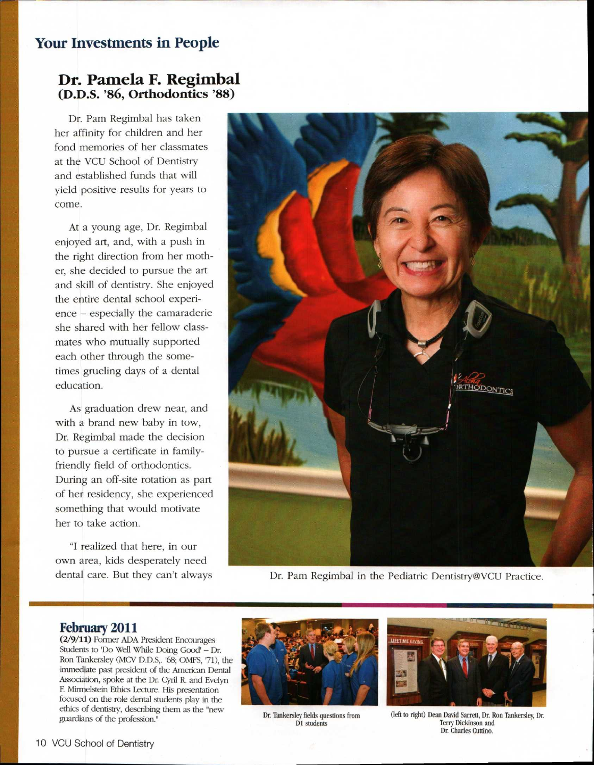## **Your Investments in People**

## **Dr. Pamela F. Regimbal (D.D.S. '86, Orthodontics '88)**

Dr. Pam Regimbal has taken her affinity for children and her fond memories of her classmates at the VCU School of Dentistry and established funds that will yield positive results for years to come.

At a young age, Dr. Regimbal enjoyed art, and, with a push in the right direction from her mother, she decided to pursue the art and skill of dentistry. She enjoyed the entire dental school experience — especially the camaraderie she shared with her fellow classmates who mutually supported each other through the sometimes grueling days of a dental education.

As graduation drew near, and with a brand new baby in tow, Dr. Regimbal made the decision to pursue a certificate in familyfriendly field of orthodontics. During an off-site rotation as part of her residency, she experienced something that would motivate her to take action.

"I realized that here, in our own area, kids desperately need dental care. But they can't always



Dr. Pam Regimbal in the Pediatric Dentistry©VCU Practice.

## **February 2011**

(2/9/11) Former ADA President Encourages Students to 'Do Well While Doing Good' — Dr. Ron Tankersley (MCV D.D.S,. '68; OMFS, '71), the immediate past president of the American Dental Association, spoke at the Dr. Cyril R. and Evelyn F Mirmelstein Ethics Lecture. His presentation focused on the role dental students play in the ethics of dentistry, describing them as the "new exacts of definiting the profession." Dr. Tankersley fields questions from guardians of the profession."



D1 students



(left to right) Dean David Sarrett, Dr. Ron Tankersley, Dr. Terry Dickinson and Dr. Charles Cuttino.